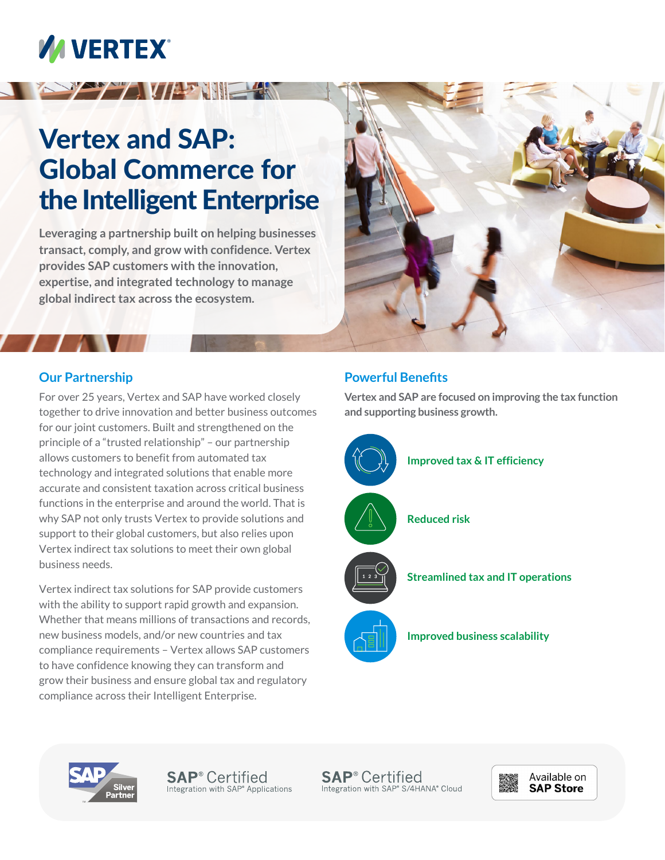# **VA VERTEX®**

## Vertex and SAP: Global Commerce for the Intelligent Enterprise

**A TENT VIEW SEARCHES** 

**Leveraging a partnership built on helping businesses transact, comply, and grow with confidence. Vertex provides SAP customers with the innovation, expertise, and integrated technology to manage global indirect tax across the ecosystem.** 



### **Our Partnership**

For over 25 years, Vertex and SAP have worked closely together to drive innovation and better business outcomes for our joint customers. Built and strengthened on the principle of a "trusted relationship" – our partnership allows customers to benefit from automated tax technology and integrated solutions that enable more accurate and consistent taxation across critical business functions in the enterprise and around the world. That is why SAP not only trusts Vertex to provide solutions and support to their global customers, but also relies upon Vertex indirect tax solutions to meet their own global business needs.

Vertex indirect tax solutions for SAP provide customers with the ability to support rapid growth and expansion. Whether that means millions of transactions and records, new business models, and/or new countries and tax compliance requirements – Vertex allows SAP customers to have confidence knowing they can transform and grow their business and ensure global tax and regulatory compliance across their Intelligent Enterprise.

#### **Powerful Benefits**

**Vertex and SAP are focused on improving the tax function and supporting business growth.** 





**SAP<sup>®</sup>** Certified Integration with SAP<sup>®</sup> Applications

**SAP<sup>®</sup>** Certified Integration with SAP® S/4HANA® Cloud